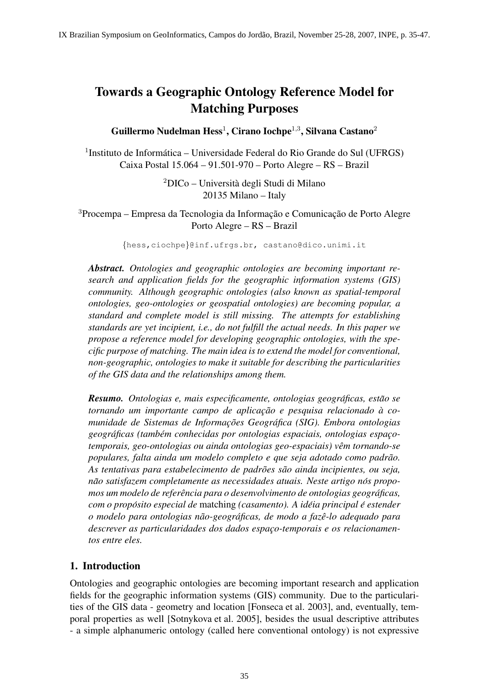# Towards a Geographic Ontology Reference Model for Matching Purposes

Guillermo Nudelman Hess $^1$ , Cirano Iochpe $^{1,3}$ , Silvana Castano $^2$ 

<sup>1</sup>Instituto de Informática – Universidade Federal do Rio Grande do Sul (UFRGS) Caixa Postal 15.064 – 91.501-970 – Porto Alegre – RS – Brazil

> $2$ DICo – Università degli Studi di Milano 20135 Milano – Italy

<sup>3</sup>Procempa – Empresa da Tecnologia da Informação e Comunicação de Porto Alegre Porto Alegre – RS – Brazil

{hess,ciochpe}@inf.ufrgs.br, castano@dico.unimi.it

*Abstract. Ontologies and geographic ontologies are becoming important research and application fields for the geographic information systems (GIS) community. Although geographic ontologies (also known as spatial-temporal ontologies, geo-ontologies or geospatial ontologies) are becoming popular, a standard and complete model is still missing. The attempts for establishing standards are yet incipient, i.e., do not fulfill the actual needs. In this paper we propose a reference model for developing geographic ontologies, with the specific purpose of matching. The main idea is to extend the model for conventional, non-geographic, ontologies to make it suitable for describing the particularities of the GIS data and the relationships among them.*

*Resumo. Ontologias e, mais especificamente, ontologias geográficas, estão se tornando um importante campo de aplicac¸ao e pesquisa relacionado ˜ a co- ` munidade de Sistemas de Informac¸oes Geogr ˜ afica (SIG). Embora ontologias ´ geograficas (tamb ´ em conhecidas por ontologias espaciais, ontologias espac¸o- ´ temporais, geo-ontologias ou ainda ontologias geo-espaciais) vem tornando-se ˆ populares, falta ainda um modelo completo e que seja adotado como padrao. ˜ As tentativas para estabelecimento de padroes s ˜ ao ainda incipientes, ou seja, ˜ não satisfazem completamente as necessidades atuais. Neste artigo nós propomos um modelo de referencia para o desenvolvimento de ontologias geogr ˆ aficas, ´ com o proposito especial de ´* matching *(casamento). A ideia principal ´ e estender ´ o modelo para ontologias nao-geogr ˜ aficas, de modo a faz ´ e-lo adequado para ˆ* descrever as particularidades dos dados espaco-temporais e os relacionamen*tos entre eles.*

# 1. Introduction

Ontologies and geographic ontologies are becoming important research and application fields for the geographic information systems (GIS) community. Due to the particularities of the GIS data - geometry and location [Fonseca et al. 2003], and, eventually, temporal properties as well [Sotnykova et al. 2005], besides the usual descriptive attributes - a simple alphanumeric ontology (called here conventional ontology) is not expressive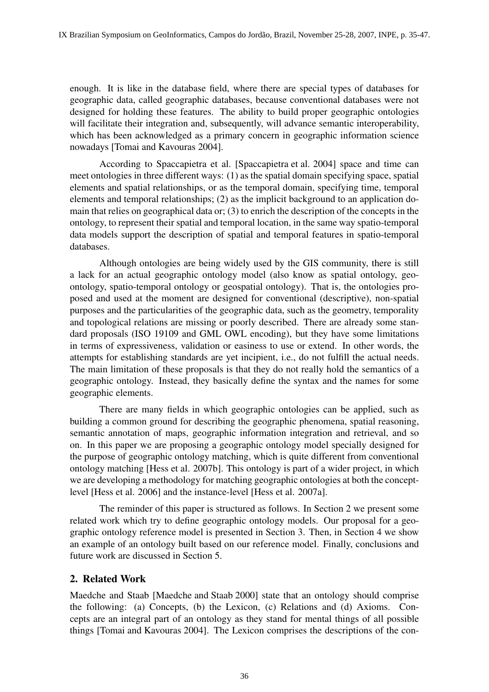enough. It is like in the database field, where there are special types of databases for geographic data, called geographic databases, because conventional databases were not designed for holding these features. The ability to build proper geographic ontologies will facilitate their integration and, subsequently, will advance semantic interoperability, which has been acknowledged as a primary concern in geographic information science nowadays [Tomai and Kavouras 2004].

According to Spaccapietra et al. [Spaccapietra et al. 2004] space and time can meet ontologies in three different ways: (1) as the spatial domain specifying space, spatial elements and spatial relationships, or as the temporal domain, specifying time, temporal elements and temporal relationships; (2) as the implicit background to an application domain that relies on geographical data or; (3) to enrich the description of the concepts in the ontology, to represent their spatial and temporal location, in the same way spatio-temporal data models support the description of spatial and temporal features in spatio-temporal databases.

Although ontologies are being widely used by the GIS community, there is still a lack for an actual geographic ontology model (also know as spatial ontology, geoontology, spatio-temporal ontology or geospatial ontology). That is, the ontologies proposed and used at the moment are designed for conventional (descriptive), non-spatial purposes and the particularities of the geographic data, such as the geometry, temporality and topological relations are missing or poorly described. There are already some standard proposals (ISO 19109 and GML OWL encoding), but they have some limitations in terms of expressiveness, validation or easiness to use or extend. In other words, the attempts for establishing standards are yet incipient, i.e., do not fulfill the actual needs. The main limitation of these proposals is that they do not really hold the semantics of a geographic ontology. Instead, they basically define the syntax and the names for some geographic elements.

There are many fields in which geographic ontologies can be applied, such as building a common ground for describing the geographic phenomena, spatial reasoning, semantic annotation of maps, geographic information integration and retrieval, and so on. In this paper we are proposing a geographic ontology model specially designed for the purpose of geographic ontology matching, which is quite different from conventional ontology matching [Hess et al. 2007b]. This ontology is part of a wider project, in which we are developing a methodology for matching geographic ontologies at both the conceptlevel [Hess et al. 2006] and the instance-level [Hess et al. 2007a].

The reminder of this paper is structured as follows. In Section 2 we present some related work which try to define geographic ontology models. Our proposal for a geographic ontology reference model is presented in Section 3. Then, in Section 4 we show an example of an ontology built based on our reference model. Finally, conclusions and future work are discussed in Section 5.

### 2. Related Work

Maedche and Staab [Maedche and Staab 2000] state that an ontology should comprise the following: (a) Concepts, (b) the Lexicon, (c) Relations and (d) Axioms. Concepts are an integral part of an ontology as they stand for mental things of all possible things [Tomai and Kavouras 2004]. The Lexicon comprises the descriptions of the con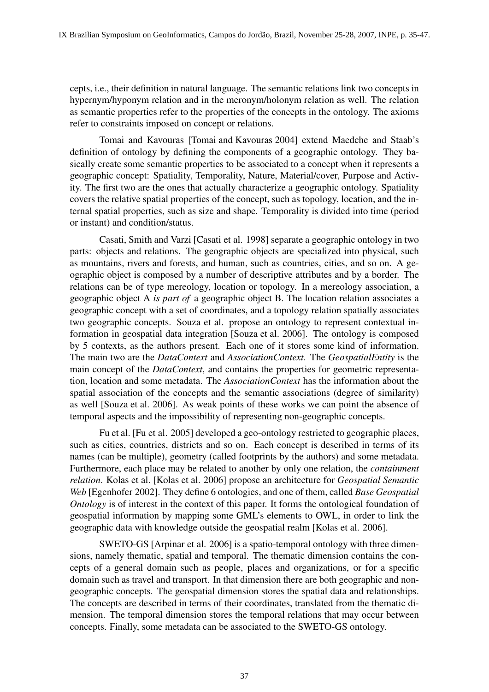cepts, i.e., their definition in natural language. The semantic relations link two concepts in hypernym/hyponym relation and in the meronym/holonym relation as well. The relation as semantic properties refer to the properties of the concepts in the ontology. The axioms refer to constraints imposed on concept or relations.

Tomai and Kavouras [Tomai and Kavouras 2004] extend Maedche and Staab's definition of ontology by defining the components of a geographic ontology. They basically create some semantic properties to be associated to a concept when it represents a geographic concept: Spatiality, Temporality, Nature, Material/cover, Purpose and Activity. The first two are the ones that actually characterize a geographic ontology. Spatiality covers the relative spatial properties of the concept, such as topology, location, and the internal spatial properties, such as size and shape. Temporality is divided into time (period or instant) and condition/status.

Casati, Smith and Varzi [Casati et al. 1998] separate a geographic ontology in two parts: objects and relations. The geographic objects are specialized into physical, such as mountains, rivers and forests, and human, such as countries, cities, and so on. A geographic object is composed by a number of descriptive attributes and by a border. The relations can be of type mereology, location or topology. In a mereology association, a geographic object A *is part of* a geographic object B. The location relation associates a geographic concept with a set of coordinates, and a topology relation spatially associates two geographic concepts. Souza et al. propose an ontology to represent contextual information in geospatial data integration [Souza et al. 2006]. The ontology is composed by 5 contexts, as the authors present. Each one of it stores some kind of information. The main two are the *DataContext* and *AssociationContext*. The *GeospatialEntity* is the main concept of the *DataContext*, and contains the properties for geometric representation, location and some metadata. The *AssociationContext* has the information about the spatial association of the concepts and the semantic associations (degree of similarity) as well [Souza et al. 2006]. As weak points of these works we can point the absence of temporal aspects and the impossibility of representing non-geographic concepts.

Fu et al. [Fu et al. 2005] developed a geo-ontology restricted to geographic places, such as cities, countries, districts and so on. Each concept is described in terms of its names (can be multiple), geometry (called footprints by the authors) and some metadata. Furthermore, each place may be related to another by only one relation, the *containment relation*. Kolas et al. [Kolas et al. 2006] propose an architecture for *Geospatial Semantic Web* [Egenhofer 2002]. They define 6 ontologies, and one of them, called *Base Geospatial Ontology* is of interest in the context of this paper. It forms the ontological foundation of geospatial information by mapping some GML's elements to OWL, in order to link the geographic data with knowledge outside the geospatial realm [Kolas et al. 2006].

SWETO-GS [Arpinar et al. 2006] is a spatio-temporal ontology with three dimensions, namely thematic, spatial and temporal. The thematic dimension contains the concepts of a general domain such as people, places and organizations, or for a specific domain such as travel and transport. In that dimension there are both geographic and nongeographic concepts. The geospatial dimension stores the spatial data and relationships. The concepts are described in terms of their coordinates, translated from the thematic dimension. The temporal dimension stores the temporal relations that may occur between concepts. Finally, some metadata can be associated to the SWETO-GS ontology.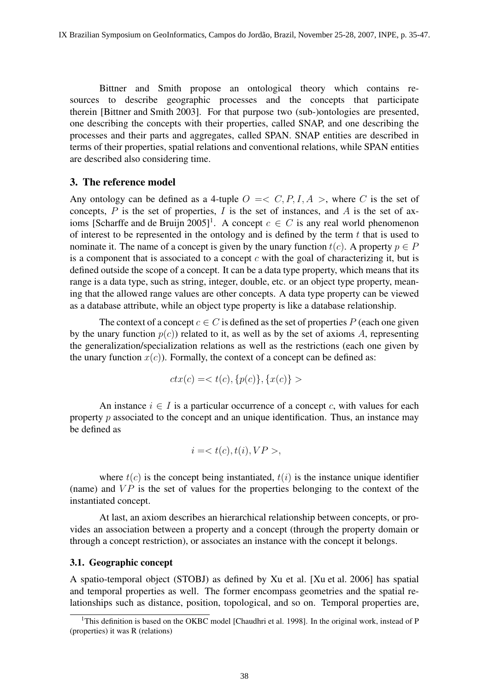Bittner and Smith propose an ontological theory which contains resources to describe geographic processes and the concepts that participate therein [Bittner and Smith 2003]. For that purpose two (sub-)ontologies are presented, one describing the concepts with their properties, called SNAP, and one describing the processes and their parts and aggregates, called SPAN. SNAP entities are described in terms of their properties, spatial relations and conventional relations, while SPAN entities are described also considering time.

### 3. The reference model

Any ontology can be defined as a 4-tuple  $O \leq C, P, I, A >$ , where C is the set of concepts,  $P$  is the set of properties,  $I$  is the set of instances, and  $A$  is the set of axioms [Scharffe and de Bruijn 2005]<sup>1</sup>. A concept  $c \in C$  is any real world phenomenon of interest to be represented in the ontology and is defined by the term  $t$  that is used to nominate it. The name of a concept is given by the unary function  $t(c)$ . A property  $p \in P$ is a component that is associated to a concept  $c$  with the goal of characterizing it, but is defined outside the scope of a concept. It can be a data type property, which means that its range is a data type, such as string, integer, double, etc. or an object type property, meaning that the allowed range values are other concepts. A data type property can be viewed as a database attribute, while an object type property is like a database relationship.

The context of a concept  $c \in C$  is defined as the set of properties P (each one given by the unary function  $p(c)$ ) related to it, as well as by the set of axioms A, representing the generalization/specialization relations as well as the restrictions (each one given by the unary function  $x(c)$ ). Formally, the context of a concept can be defined as:

$$
ctx(c) = < t(c), \{p(c)\}, \{x(c)\}>
$$

An instance  $i \in I$  is a particular occurrence of a concept c, with values for each property  $p$  associated to the concept and an unique identification. Thus, an instance may be defined as

$$
i = ,
$$

where  $t(c)$  is the concept being instantiated,  $t(i)$  is the instance unique identifier (name) and  $VP$  is the set of values for the properties belonging to the context of the instantiated concept.

At last, an axiom describes an hierarchical relationship between concepts, or provides an association between a property and a concept (through the property domain or through a concept restriction), or associates an instance with the concept it belongs.

#### 3.1. Geographic concept

A spatio-temporal object (STOBJ) as defined by Xu et al. [Xu et al. 2006] has spatial and temporal properties as well. The former encompass geometries and the spatial relationships such as distance, position, topological, and so on. Temporal properties are,

<sup>&</sup>lt;sup>1</sup>This definition is based on the OKBC model [Chaudhri et al. 1998]. In the original work, instead of P (properties) it was R (relations)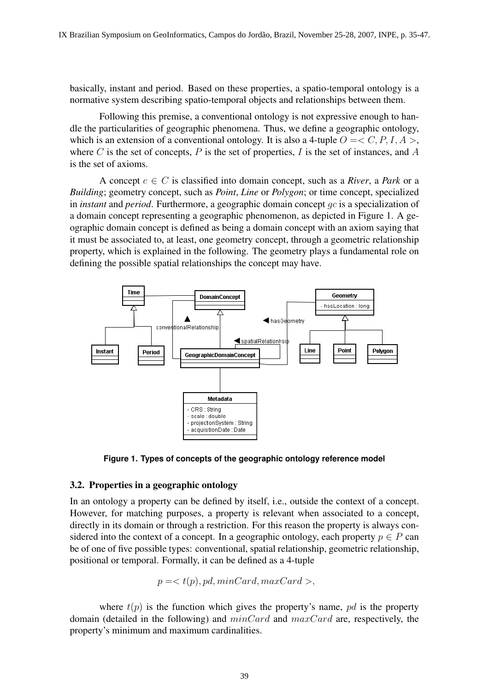basically, instant and period. Based on these properties, a spatio-temporal ontology is a normative system describing spatio-temporal objects and relationships between them.

Following this premise, a conventional ontology is not expressive enough to handle the particularities of geographic phenomena. Thus, we define a geographic ontology, which is an extension of a conventional ontology. It is also a 4-tuple  $O = \langle C, P, I, A \rangle$ , where C is the set of concepts,  $P$  is the set of properties,  $I$  is the set of instances, and  $A$ is the set of axioms.

A concept  $c \in C$  is classified into domain concept, such as a *River*, a *Park* or a *Building*; geometry concept, such as *Point*, *Line* or *Polygon*; or time concept, specialized in *instant* and *period*. Furthermore, a geographic domain concept gc is a specialization of a domain concept representing a geographic phenomenon, as depicted in Figure 1. A geographic domain concept is defined as being a domain concept with an axiom saying that it must be associated to, at least, one geometry concept, through a geometric relationship property, which is explained in the following. The geometry plays a fundamental role on defining the possible spatial relationships the concept may have.



**Figure 1. Types of concepts of the geographic ontology reference model**

### 3.2. Properties in a geographic ontology

In an ontology a property can be defined by itself, i.e., outside the context of a concept. However, for matching purposes, a property is relevant when associated to a concept, directly in its domain or through a restriction. For this reason the property is always considered into the context of a concept. In a geographic ontology, each property  $p \in P$  can be of one of five possible types: conventional, spatial relationship, geometric relationship, positional or temporal. Formally, it can be defined as a 4-tuple

$$
p = ,
$$

where  $t(p)$  is the function which gives the property's name, pd is the property domain (detailed in the following) and  $minCard$  and  $maxCard$  are, respectively, the property's minimum and maximum cardinalities.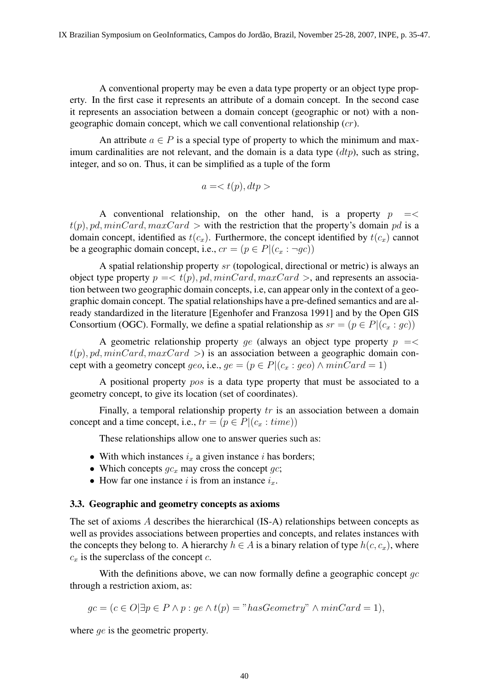A conventional property may be even a data type property or an object type property. In the first case it represents an attribute of a domain concept. In the second case it represents an association between a domain concept (geographic or not) with a nongeographic domain concept, which we call conventional relationship  $(cr)$ .

An attribute  $a \in P$  is a special type of property to which the minimum and maximum cardinalities are not relevant, and the domain is a data type  $(dtp)$ , such as string, integer, and so on. Thus, it can be simplified as a tuple of the form

$$
a =
$$

A conventional relationship, on the other hand, is a property  $p \leq$  $t(p)$ , pd, minCard, maxCard > with the restriction that the property's domain pd is a domain concept, identified as  $t(c_x)$ . Furthermore, the concept identified by  $t(c_x)$  cannot be a geographic domain concept, i.e.,  $cr = (p \in P | (c_x : \neg qc))$ 

A spatial relationship property sr (topological, directional or metric) is always an object type property  $p = < t(p)$ , pd, minCard, maxCard >, and represents an association between two geographic domain concepts, i.e, can appear only in the context of a geographic domain concept. The spatial relationships have a pre-defined semantics and are already standardized in the literature [Egenhofer and Franzosa 1991] and by the Open GIS Consortium (OGC). Formally, we define a spatial relationship as  $sr = (p \in P | (c_x : gc))$ 

A geometric relationship property ge (always an object type property  $p = \lt$  $t(p)$ , pd, minCard, maxCard  $>$ ) is an association between a geographic domain concept with a geometry concept geo, i.e.,  $ge = (p \in P | (c_x : geo) \land minCard = 1)$ 

A positional property pos is a data type property that must be associated to a geometry concept, to give its location (set of coordinates).

Finally, a temporal relationship property  $tr$  is an association between a domain concept and a time concept, i.e.,  $tr = (p \in P | (c_x : time))$ 

These relationships allow one to answer queries such as:

- With which instances  $i_x$  a given instance i has borders;
- Which concepts  $gc_x$  may cross the concept  $gc$ ;
- How far one instance i is from an instance  $i_x$ .

#### 3.3. Geographic and geometry concepts as axioms

The set of axioms A describes the hierarchical (IS-A) relationships between concepts as well as provides associations between properties and concepts, and relates instances with the concepts they belong to. A hierarchy  $h \in A$  is a binary relation of type  $h(c, c_x)$ , where  $c_x$  is the superclass of the concept  $c$ .

With the definitions above, we can now formally define a geographic concept  $qc$ through a restriction axiom, as:

$$
gc = (c \in O | \exists p \in P \land p : ge \land t(p) = "hasGeometry" \land minCard = 1),
$$

where *qe* is the geometric property.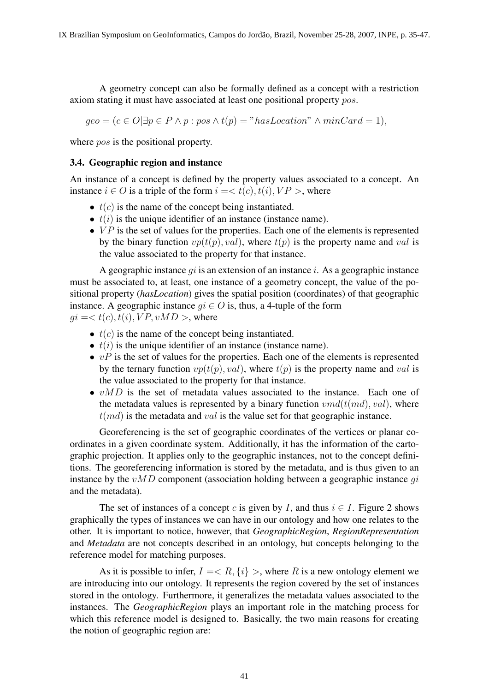A geometry concept can also be formally defined as a concept with a restriction axiom stating it must have associated at least one positional property pos.

 $geo = (c \in O | \exists p \in P \land p : pos \land t(p) = "hasLocation" \land minCard = 1),$ 

where *pos* is the positional property.

#### 3.4. Geographic region and instance

An instance of a concept is defined by the property values associated to a concept. An instance  $i \in O$  is a triple of the form  $i = < t(c)$ ,  $t(i)$ ,  $VP >$ , where

- $\bullet$   $t(c)$  is the name of the concept being instantiated.
- $t(i)$  is the unique identifier of an instance (instance name).
- $VP$  is the set of values for the properties. Each one of the elements is represented by the binary function  $vp(t(p), val)$ , where  $t(p)$  is the property name and val is the value associated to the property for that instance.

A geographic instance  $qi$  is an extension of an instance i. As a geographic instance must be associated to, at least, one instance of a geometry concept, the value of the positional property (*hasLocation*) gives the spatial position (coordinates) of that geographic instance. A geographic instance  $qi \in O$  is, thus, a 4-tuple of the form  $qi = < t(c), t(i), VP, vMD >$ , where

- $t(c)$  is the name of the concept being instantiated.
- $t(i)$  is the unique identifier of an instance (instance name).
- $vP$  is the set of values for the properties. Each one of the elements is represented by the ternary function  $vp(t(p), val)$ , where  $t(p)$  is the property name and val is the value associated to the property for that instance.
- $vMD$  is the set of metadata values associated to the instance. Each one of the metadata values is represented by a binary function  $vmd(t(md), val)$ , where  $t(md)$  is the metadata and *val* is the value set for that geographic instance.

Georeferencing is the set of geographic coordinates of the vertices or planar coordinates in a given coordinate system. Additionally, it has the information of the cartographic projection. It applies only to the geographic instances, not to the concept definitions. The georeferencing information is stored by the metadata, and is thus given to an instance by the  $vMD$  component (association holding between a geographic instance  $qi$ and the metadata).

The set of instances of a concept c is given by I, and thus  $i \in I$ . Figure 2 shows graphically the types of instances we can have in our ontology and how one relates to the other. It is important to notice, however, that *GeographicRegion*, *RegionRepresentation* and *Metadata* are not concepts described in an ontology, but concepts belonging to the reference model for matching purposes.

As it is possible to infer,  $I = \langle R, \{i\} \rangle$ , where R is a new ontology element we are introducing into our ontology. It represents the region covered by the set of instances stored in the ontology. Furthermore, it generalizes the metadata values associated to the instances. The *GeographicRegion* plays an important role in the matching process for which this reference model is designed to. Basically, the two main reasons for creating the notion of geographic region are: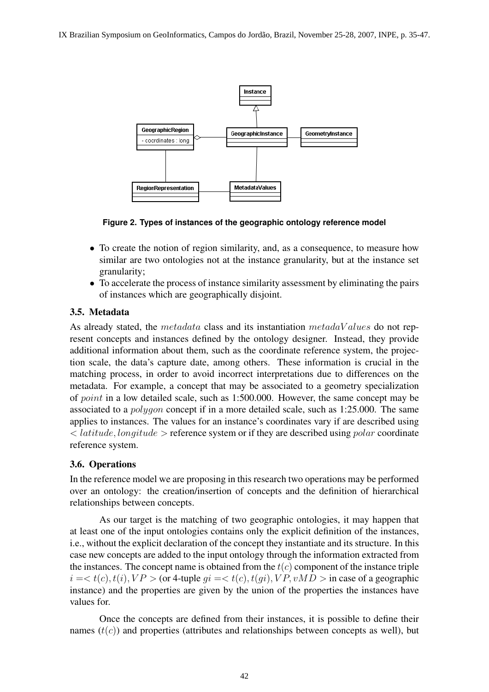IX Brazilian Symposium on GeoInformatics, Campos do Jordão, Brazil, November 25-28, 2007, INPE, p. 35-47.



**Figure 2. Types of instances of the geographic ontology reference model**

- To create the notion of region similarity, and, as a consequence, to measure how similar are two ontologies not at the instance granularity, but at the instance set granularity;
- To accelerate the process of instance similarity assessment by eliminating the pairs of instances which are geographically disjoint.

### 3.5. Metadata

As already stated, the metadata class and its instantiation metada $Values$  do not represent concepts and instances defined by the ontology designer. Instead, they provide additional information about them, such as the coordinate reference system, the projection scale, the data's capture date, among others. These information is crucial in the matching process, in order to avoid incorrect interpretations due to differences on the metadata. For example, a concept that may be associated to a geometry specialization of point in a low detailed scale, such as 1:500.000. However, the same concept may be associated to a polygon concept if in a more detailed scale, such as 1:25.000. The same applies to instances. The values for an instance's coordinates vary if are described using  $\langle$  latitude, longitude  $\rangle$  reference system or if they are described using polar coordinate reference system.

### 3.6. Operations

In the reference model we are proposing in this research two operations may be performed over an ontology: the creation/insertion of concepts and the definition of hierarchical relationships between concepts.

As our target is the matching of two geographic ontologies, it may happen that at least one of the input ontologies contains only the explicit definition of the instances, i.e., without the explicit declaration of the concept they instantiate and its structure. In this case new concepts are added to the input ontology through the information extracted from the instances. The concept name is obtained from the  $t(c)$  component of the instance triple  $i = < t(c)$ ,  $t(i)$ ,  $VP >$  (or 4-tuple  $qi = < t(c)$ ,  $t(qi)$ ,  $VP$ ,  $vMD >$  in case of a geographic instance) and the properties are given by the union of the properties the instances have values for.

Once the concepts are defined from their instances, it is possible to define their names  $(t(c))$  and properties (attributes and relationships between concepts as well), but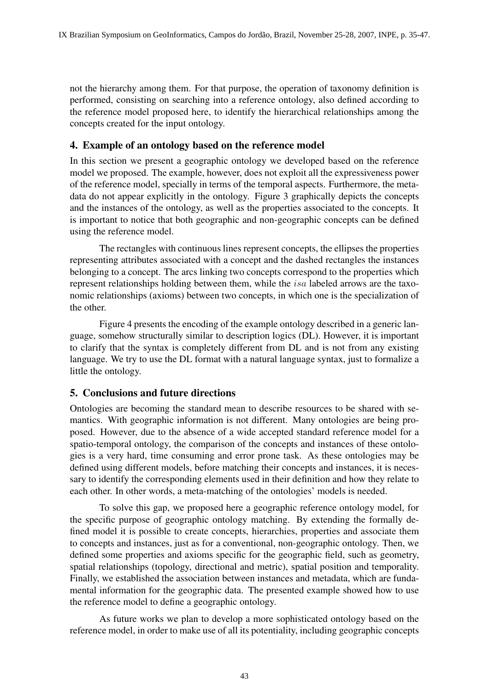not the hierarchy among them. For that purpose, the operation of taxonomy definition is performed, consisting on searching into a reference ontology, also defined according to the reference model proposed here, to identify the hierarchical relationships among the concepts created for the input ontology.

# 4. Example of an ontology based on the reference model

In this section we present a geographic ontology we developed based on the reference model we proposed. The example, however, does not exploit all the expressiveness power of the reference model, specially in terms of the temporal aspects. Furthermore, the metadata do not appear explicitly in the ontology. Figure 3 graphically depicts the concepts and the instances of the ontology, as well as the properties associated to the concepts. It is important to notice that both geographic and non-geographic concepts can be defined using the reference model.

The rectangles with continuous lines represent concepts, the ellipses the properties representing attributes associated with a concept and the dashed rectangles the instances belonging to a concept. The arcs linking two concepts correspond to the properties which represent relationships holding between them, while the isa labeled arrows are the taxonomic relationships (axioms) between two concepts, in which one is the specialization of the other.

Figure 4 presents the encoding of the example ontology described in a generic language, somehow structurally similar to description logics (DL). However, it is important to clarify that the syntax is completely different from DL and is not from any existing language. We try to use the DL format with a natural language syntax, just to formalize a little the ontology.

# 5. Conclusions and future directions

Ontologies are becoming the standard mean to describe resources to be shared with semantics. With geographic information is not different. Many ontologies are being proposed. However, due to the absence of a wide accepted standard reference model for a spatio-temporal ontology, the comparison of the concepts and instances of these ontologies is a very hard, time consuming and error prone task. As these ontologies may be defined using different models, before matching their concepts and instances, it is necessary to identify the corresponding elements used in their definition and how they relate to each other. In other words, a meta-matching of the ontologies' models is needed.

To solve this gap, we proposed here a geographic reference ontology model, for the specific purpose of geographic ontology matching. By extending the formally defined model it is possible to create concepts, hierarchies, properties and associate them to concepts and instances, just as for a conventional, non-geographic ontology. Then, we defined some properties and axioms specific for the geographic field, such as geometry, spatial relationships (topology, directional and metric), spatial position and temporality. Finally, we established the association between instances and metadata, which are fundamental information for the geographic data. The presented example showed how to use the reference model to define a geographic ontology.

As future works we plan to develop a more sophisticated ontology based on the reference model, in order to make use of all its potentiality, including geographic concepts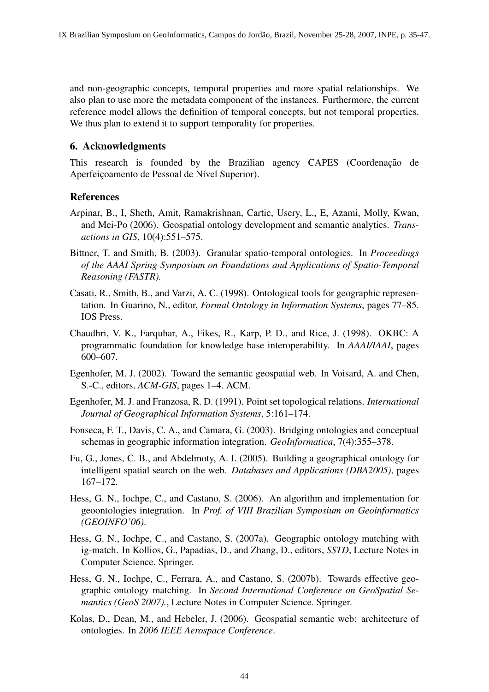and non-geographic concepts, temporal properties and more spatial relationships. We also plan to use more the metadata component of the instances. Furthermore, the current reference model allows the definition of temporal concepts, but not temporal properties. We thus plan to extend it to support temporality for properties.

## 6. Acknowledgments

This research is founded by the Brazilian agency CAPES (Coordenação de Aperfeiçoamento de Pessoal de Nível Superior).

# References

- Arpinar, B., I, Sheth, Amit, Ramakrishnan, Cartic, Usery, L., E, Azami, Molly, Kwan, and Mei-Po (2006). Geospatial ontology development and semantic analytics. *Transactions in GIS*, 10(4):551–575.
- Bittner, T. and Smith, B. (2003). Granular spatio-temporal ontologies. In *Proceedings of the AAAI Spring Symposium on Foundations and Applications of Spatio-Temporal Reasoning (FASTR).*
- Casati, R., Smith, B., and Varzi, A. C. (1998). Ontological tools for geographic representation. In Guarino, N., editor, *Formal Ontology in Information Systems*, pages 77–85. IOS Press.
- Chaudhri, V. K., Farquhar, A., Fikes, R., Karp, P. D., and Rice, J. (1998). OKBC: A programmatic foundation for knowledge base interoperability. In *AAAI/IAAI*, pages 600–607.
- Egenhofer, M. J. (2002). Toward the semantic geospatial web. In Voisard, A. and Chen, S.-C., editors, *ACM-GIS*, pages 1–4. ACM.
- Egenhofer, M. J. and Franzosa, R. D. (1991). Point set topological relations. *International Journal of Geographical Information Systems*, 5:161–174.
- Fonseca, F. T., Davis, C. A., and Camara, G. (2003). Bridging ontologies and conceptual schemas in geographic information integration. *GeoInformatica*, 7(4):355–378.
- Fu, G., Jones, C. B., and Abdelmoty, A. I. (2005). Building a geographical ontology for intelligent spatial search on the web. *Databases and Applications (DBA2005)*, pages 167–172.
- Hess, G. N., Iochpe, C., and Castano, S. (2006). An algorithm and implementation for geoontologies integration. In *Prof. of VIII Brazilian Symposium on Geoinformatics (GEOINFO'06)*.
- Hess, G. N., Iochpe, C., and Castano, S. (2007a). Geographic ontology matching with ig-match. In Kollios, G., Papadias, D., and Zhang, D., editors, *SSTD*, Lecture Notes in Computer Science. Springer.
- Hess, G. N., Iochpe, C., Ferrara, A., and Castano, S. (2007b). Towards effective geographic ontology matching. In *Second International Conference on GeoSpatial Semantics (GeoS 2007).*, Lecture Notes in Computer Science. Springer.
- Kolas, D., Dean, M., and Hebeler, J. (2006). Geospatial semantic web: architecture of ontologies. In *2006 IEEE Aerospace Conference*.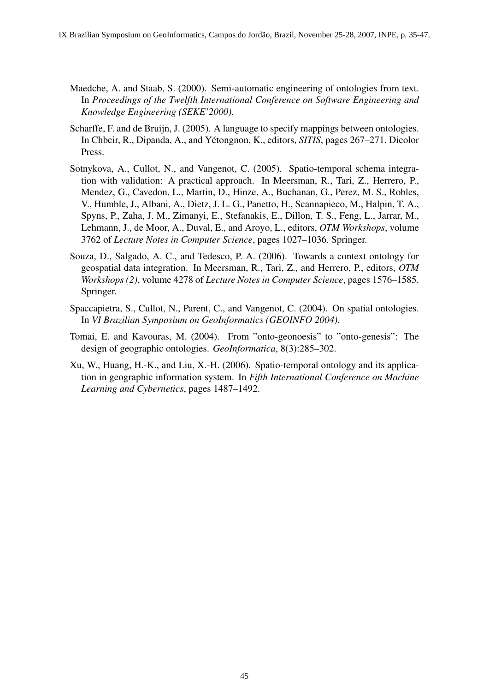- Maedche, A. and Staab, S. (2000). Semi-automatic engineering of ontologies from text. In *Proceedings of the Twelfth International Conference on Software Engineering and Knowledge Engineering (SEKE'2000)*.
- Scharffe, F. and de Bruijn, J. (2005). A language to specify mappings between ontologies. In Chbeir, R., Dipanda, A., and Yetongnon, K., editors, ´ *SITIS*, pages 267–271. Dicolor Press.
- Sotnykova, A., Cullot, N., and Vangenot, C. (2005). Spatio-temporal schema integration with validation: A practical approach. In Meersman, R., Tari, Z., Herrero, P., Mendez, G., Cavedon, L., Martin, D., Hinze, A., Buchanan, G., Perez, M. S., Robles, V., Humble, J., Albani, A., Dietz, J. L. G., Panetto, H., Scannapieco, M., Halpin, T. A., Spyns, P., Zaha, J. M., Zimanyi, E., Stefanakis, E., Dillon, T. S., Feng, L., Jarrar, M., Lehmann, J., de Moor, A., Duval, E., and Aroyo, L., editors, *OTM Workshops*, volume 3762 of *Lecture Notes in Computer Science*, pages 1027–1036. Springer.
- Souza, D., Salgado, A. C., and Tedesco, P. A. (2006). Towards a context ontology for geospatial data integration. In Meersman, R., Tari, Z., and Herrero, P., editors, *OTM Workshops (2)*, volume 4278 of *Lecture Notes in Computer Science*, pages 1576–1585. Springer.
- Spaccapietra, S., Cullot, N., Parent, C., and Vangenot, C. (2004). On spatial ontologies. In *VI Brazilian Symposium on GeoInformatics (GEOINFO 2004)*.
- Tomai, E. and Kavouras, M. (2004). From "onto-geonoesis" to "onto-genesis": The design of geographic ontologies. *GeoInformatica*, 8(3):285–302.
- Xu, W., Huang, H.-K., and Liu, X.-H. (2006). Spatio-temporal ontology and its application in geographic information system. In *Fifth International Conference on Machine Learning and Cybernetics*, pages 1487–1492.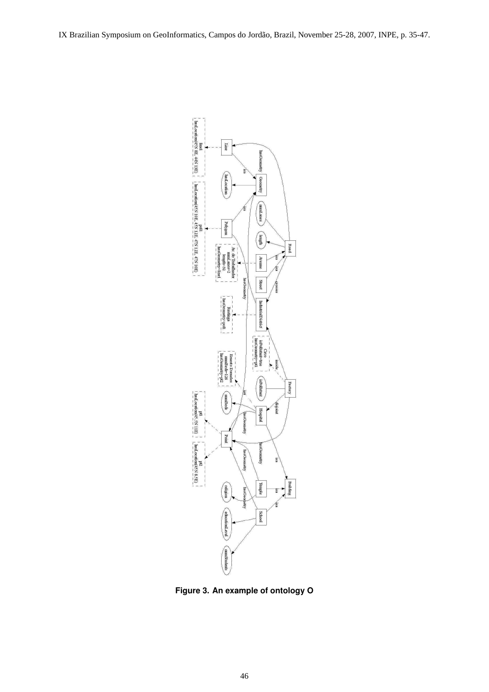IX Brazilian Symposium on GeoInformatics, Campos do Jordão, Brazil, November 25-28, 2007, INPE, p. 35-47.



**Figure 3. An example of ontology O**